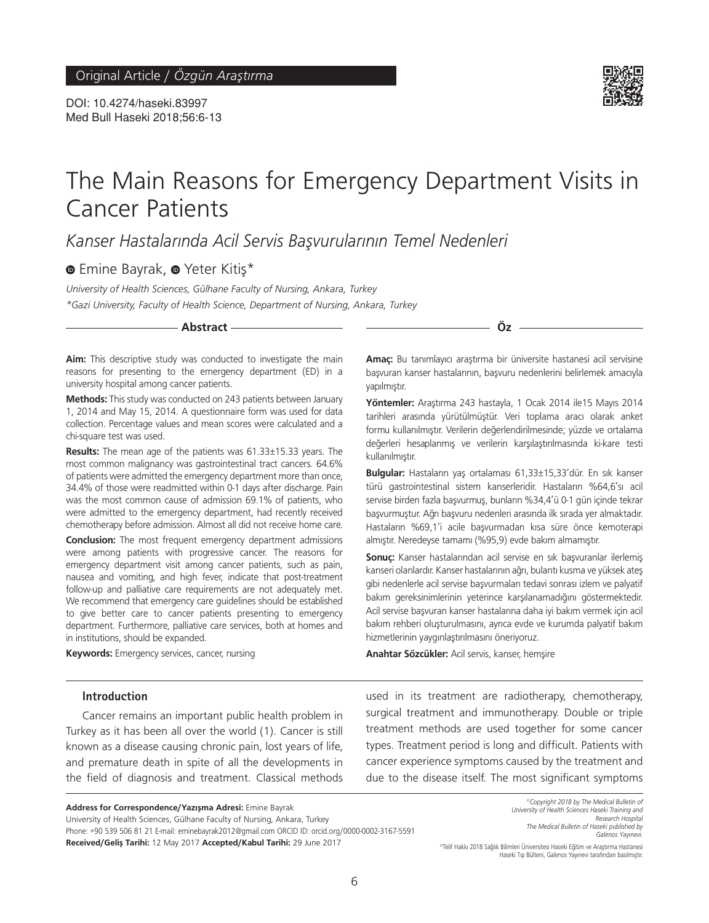DOI: 10.4274/haseki.83997 Med Bull Haseki 2018;56:6-13



# The Main Reasons for Emergency Department Visits in Cancer Patients

*Kanser Hastalarında Acil Servis Başvurularının Temel Nedenleri*

**EmineBayrak, @ Yeter Kitis\*** 

*University of Health Sciences, Gülhane Faculty of Nursing, Ankara, Turkey \*Gazi University, Faculty of Health Science, Department of Nursing, Ankara, Turkey*

**Abstract Öz**

**Aim:** This descriptive study was conducted to investigate the main reasons for presenting to the emergency department (ED) in a university hospital among cancer patients.

**Methods:** This study was conducted on 243 patients between January 1, 2014 and May 15, 2014. A questionnaire form was used for data collection. Percentage values and mean scores were calculated and a chi-square test was used.

**Results:** The mean age of the patients was 61.33±15.33 years. The most common malignancy was gastrointestinal tract cancers. 64.6% of patients were admitted the emergency department more than once, 34.4% of those were readmitted within 0-1 days after discharge. Pain was the most common cause of admission 69.1% of patients, who were admitted to the emergency department, had recently received chemotherapy before admission. Almost all did not receive home care.

**Conclusion:** The most frequent emergency department admissions were among patients with progressive cancer. The reasons for emergency department visit among cancer patients, such as pain, nausea and vomiting, and high fever, indicate that post-treatment follow-up and palliative care requirements are not adequately met. We recommend that emergency care guidelines should be established to give better care to cancer patients presenting to emergency department. Furthermore, palliative care services, both at homes and in institutions, should be expanded.

**Keywords:** Emergency services, cancer, nursing

**Introduction**

Cancer remains an important public health problem in Turkey as it has been all over the world (1). Cancer is still known as a disease causing chronic pain, lost years of life, and premature death in spite of all the developments in the field of diagnosis and treatment. Classical methods **Amaç:** Bu tanımlayıcı araştırma bir üniversite hastanesi acil servisine başvuran kanser hastalarının, başvuru nedenlerini belirlemek amacıyla yapılmıştır.

**Yöntemler:** Araştırma 243 hastayla, 1 Ocak 2014 ile15 Mayıs 2014 tarihleri arasında yürütülmüştür. Veri toplama aracı olarak anket formu kullanılmıştır. Verilerin değerlendirilmesinde; yüzde ve ortalama değerleri hesaplanmış ve verilerin karşılaştırılmasında ki-kare testi kullanılmıştır.

**Bulgular:** Hastaların yaş ortalaması 61,33±15,33'dür. En sık kanser türü gastrointestinal sistem kanserleridir. Hastaların %64,6'sı acil servise birden fazla başvurmuş, bunların %34,4'ü 0-1 gün içinde tekrar başvurmuştur. Ağrı başvuru nedenleri arasında ilk sırada yer almaktadır. Hastaların %69,1'i acile başvurmadan kısa süre önce kemoterapi almıştır. Neredeyse tamamı (%95,9) evde bakım almamıştır.

**Sonuç:** Kanser hastalarından acil servise en sık başvuranlar ilerlemiş kanseri olanlardır. Kanser hastalarının ağrı, bulantı kusma ve yüksek ateş gibi nedenlerle acil servise başvurmaları tedavi sonrası izlem ve palyatif bakım gereksinimlerinin yeterince karşılanamadığını göstermektedir. Acil servise başvuran kanser hastalarına daha iyi bakım vermek için acil bakım rehberi oluşturulmasını, ayrıca evde ve kurumda palyatif bakım hizmetlerinin yaygınlaştırılmasını öneriyoruz.

**Anahtar Sözcükler:** Acil servis, kanser, hemşire

used in its treatment are radiotherapy, chemotherapy, surgical treatment and immunotherapy. Double or triple treatment methods are used together for some cancer types. Treatment period is long and difficult. Patients with cancer experience symptoms caused by the treatment and due to the disease itself. The most significant symptoms

**Address for Correspondence/Yazışma Adresi:** Emine Bayrak University of Health Sciences, Gülhane Faculty of Nursing, Ankara, Turkey Phone: +90 539 506 81 21 E-mail: eminebayrak2012@gmail.com ORCID ID: orcid.org/0000-0002-3167-5591 Received/Geliş Tarihi: 12 May 2017 Accepted/Kabul Tarihi: 29 June 2017

*©Copyright 2018 by The Medical Bulletin of University of Health Sciences Haseki Training and Research Hospital The Medical Bulletin of Haseki published by Galenos Yayınevi.*

©Telif Hakkı 2018 Sağlık Bilimleri Üniversitesi Haseki Eğitim ve Araştırma Hastanesi Haseki Tıp Bülteni, Galenos Yayınevi tarafından basılmıştır.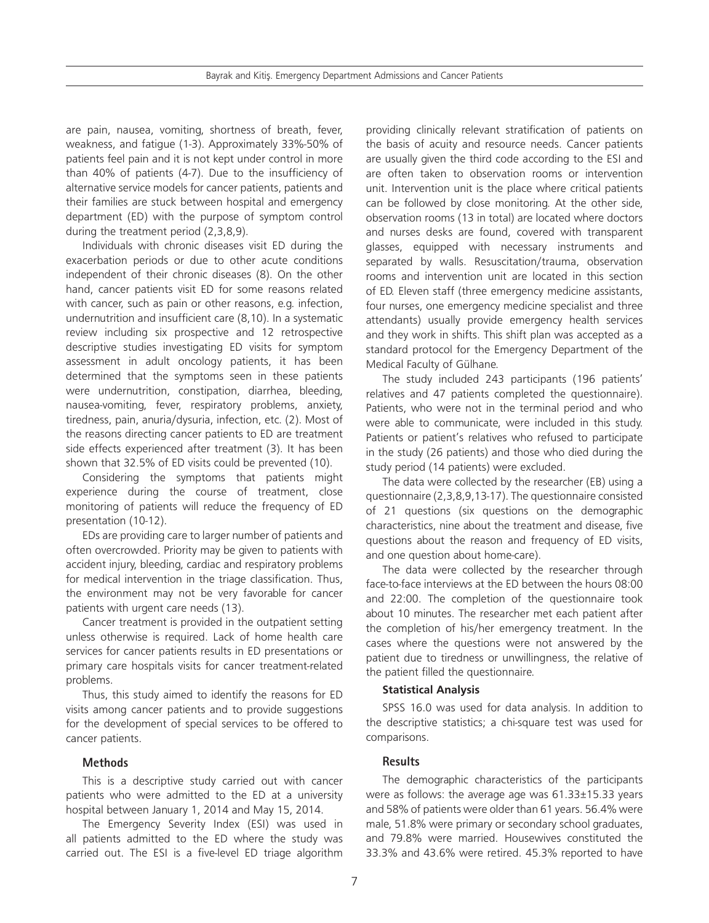are pain, nausea, vomiting, shortness of breath, fever, weakness, and fatigue (1-3). Approximately 33%-50% of patients feel pain and it is not kept under control in more than 40% of patients (4-7). Due to the insufficiency of alternative service models for cancer patients, patients and their families are stuck between hospital and emergency department (ED) with the purpose of symptom control during the treatment period (2,3,8,9).

Individuals with chronic diseases visit ED during the exacerbation periods or due to other acute conditions independent of their chronic diseases (8). On the other hand, cancer patients visit ED for some reasons related with cancer, such as pain or other reasons, e.g. infection, undernutrition and insufficient care (8,10). In a systematic review including six prospective and 12 retrospective descriptive studies investigating ED visits for symptom assessment in adult oncology patients, it has been determined that the symptoms seen in these patients were undernutrition, constipation, diarrhea, bleeding, nausea-vomiting, fever, respiratory problems, anxiety, tiredness, pain, anuria/dysuria, infection, etc. (2). Most of the reasons directing cancer patients to ED are treatment side effects experienced after treatment (3). It has been shown that 32.5% of ED visits could be prevented (10).

Considering the symptoms that patients might experience during the course of treatment, close monitoring of patients will reduce the frequency of ED presentation (10-12).

EDs are providing care to larger number of patients and often overcrowded. Priority may be given to patients with accident injury, bleeding, cardiac and respiratory problems for medical intervention in the triage classification. Thus, the environment may not be very favorable for cancer patients with urgent care needs (13).

Cancer treatment is provided in the outpatient setting unless otherwise is required. Lack of home health care services for cancer patients results in ED presentations or primary care hospitals visits for cancer treatment-related problems.

Thus, this study aimed to identify the reasons for ED visits among cancer patients and to provide suggestions for the development of special services to be offered to cancer patients.

## **Methods**

This is a descriptive study carried out with cancer patients who were admitted to the ED at a university hospital between January 1, 2014 and May 15, 2014.

The Emergency Severity Index (ESI) was used in all patients admitted to the ED where the study was carried out. The ESI is a five-level ED triage algorithm

providing clinically relevant stratification of patients on the basis of acuity and resource needs. Cancer patients are usually given the third code according to the ESI and are often taken to observation rooms or intervention unit. Intervention unit is the place where critical patients can be followed by close monitoring. At the other side, observation rooms (13 in total) are located where doctors and nurses desks are found, covered with transparent glasses, equipped with necessary instruments and separated by walls. Resuscitation/trauma, observation rooms and intervention unit are located in this section of ED. Eleven staff (three emergency medicine assistants, four nurses, one emergency medicine specialist and three attendants) usually provide emergency health services and they work in shifts. This shift plan was accepted as a standard protocol for the Emergency Department of the Medical Faculty of Gülhane.

The study included 243 participants (196 patients' relatives and 47 patients completed the questionnaire). Patients, who were not in the terminal period and who were able to communicate, were included in this study. Patients or patient's relatives who refused to participate in the study (26 patients) and those who died during the study period (14 patients) were excluded.

The data were collected by the researcher (EB) using a questionnaire (2,3,8,9,13-17). The questionnaire consisted of 21 questions (six questions on the demographic characteristics, nine about the treatment and disease, five questions about the reason and frequency of ED visits, and one question about home-care).

The data were collected by the researcher through face-to-face interviews at the ED between the hours 08:00 and 22:00. The completion of the questionnaire took about 10 minutes. The researcher met each patient after the completion of his/her emergency treatment. In the cases where the questions were not answered by the patient due to tiredness or unwillingness, the relative of the patient filled the questionnaire.

## **Statistical Analysis**

SPSS 16.0 was used for data analysis. In addition to the descriptive statistics; a chi-square test was used for comparisons.

# **Results**

The demographic characteristics of the participants were as follows: the average age was 61.33±15.33 years and 58% of patients were older than 61 years. 56.4% were male, 51.8% were primary or secondary school graduates, and 79.8% were married. Housewives constituted the 33.3% and 43.6% were retired. 45.3% reported to have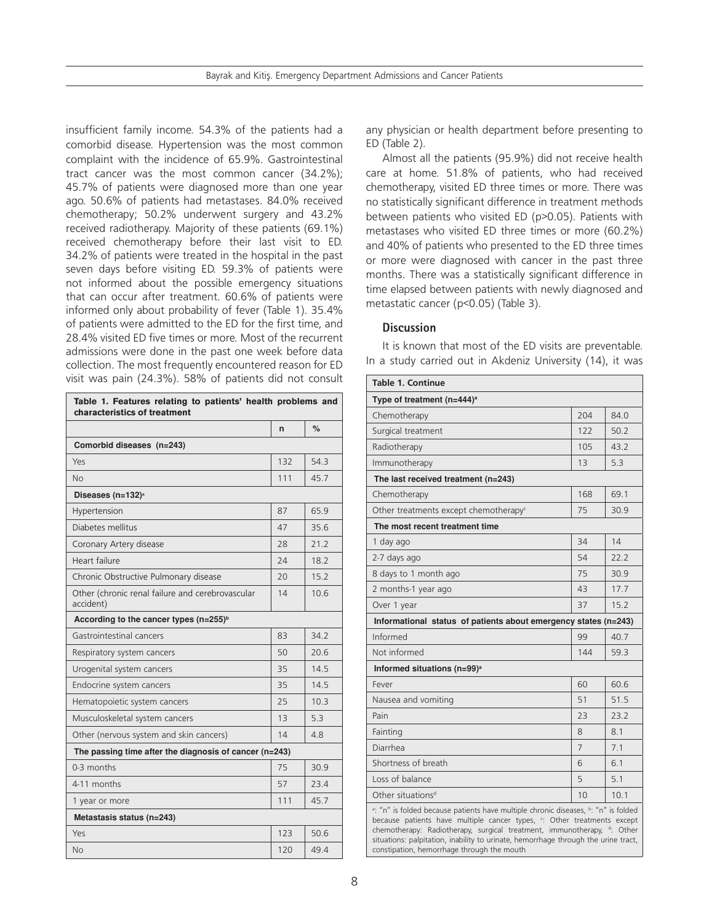insufficient family income. 54.3% of the patients had a comorbid disease. Hypertension was the most common complaint with the incidence of 65.9%. Gastrointestinal tract cancer was the most common cancer (34.2%); 45.7% of patients were diagnosed more than one year ago. 50.6% of patients had metastases. 84.0% received chemotherapy; 50.2% underwent surgery and 43.2% received radiotherapy. Majority of these patients (69.1%) received chemotherapy before their last visit to ED. 34.2% of patients were treated in the hospital in the past seven days before visiting ED. 59.3% of patients were not informed about the possible emergency situations that can occur after treatment. 60.6% of patients were informed only about probability of fever (Table 1). 35.4% of patients were admitted to the ED for the first time, and 28.4% visited ED five times or more. Most of the recurrent admissions were done in the past one week before data collection. The most frequently encountered reason for ED visit was pain (24.3%). 58% of patients did not consult

| Table 1. Features relating to patients' health problems and<br>characteristics of treatment |     |      |  |  |  |  |
|---------------------------------------------------------------------------------------------|-----|------|--|--|--|--|
|                                                                                             | n   | $\%$ |  |  |  |  |
| Comorbid diseases (n=243)                                                                   |     |      |  |  |  |  |
| Yes                                                                                         | 132 | 54.3 |  |  |  |  |
| No                                                                                          | 111 | 45.7 |  |  |  |  |
| Diseases (n=132) <sup>a</sup>                                                               |     |      |  |  |  |  |
| Hypertension                                                                                | 87  | 65.9 |  |  |  |  |
| Diabetes mellitus                                                                           | 47  | 35.6 |  |  |  |  |
| Coronary Artery disease                                                                     | 28  | 21.2 |  |  |  |  |
| Heart failure                                                                               | 24  | 18.2 |  |  |  |  |
| Chronic Obstructive Pulmonary disease                                                       | 20  | 15.2 |  |  |  |  |
| Other (chronic renal failure and cerebrovascular<br>accident)                               | 14  | 10.6 |  |  |  |  |
| According to the cancer types (n=255) <sup>b</sup>                                          |     |      |  |  |  |  |
| Gastrointestinal cancers                                                                    | 83  | 34.2 |  |  |  |  |
| Respiratory system cancers                                                                  | 50  | 20.6 |  |  |  |  |
| Urogenital system cancers                                                                   | 35  | 14.5 |  |  |  |  |
| Endocrine system cancers                                                                    | 35  | 14.5 |  |  |  |  |
| Hematopoietic system cancers                                                                | 25  | 10.3 |  |  |  |  |
| Musculoskeletal system cancers                                                              | 13  | 53   |  |  |  |  |
| Other (nervous system and skin cancers)                                                     | 14  | 4.8  |  |  |  |  |
| The passing time after the diagnosis of cancer (n=243)                                      |     |      |  |  |  |  |
| $0-3$ months                                                                                | 75  | 30.9 |  |  |  |  |
| 4-11 months                                                                                 | 57  | 23.4 |  |  |  |  |
| 1 year or more                                                                              | 111 | 45.7 |  |  |  |  |
| Metastasis status (n=243)                                                                   |     |      |  |  |  |  |
| Yes                                                                                         | 123 | 50.6 |  |  |  |  |
| No                                                                                          | 120 | 49.4 |  |  |  |  |

any physician or health department before presenting to ED (Table 2).

Almost all the patients (95.9%) did not receive health care at home. 51.8% of patients, who had received chemotherapy, visited ED three times or more. There was no statistically significant difference in treatment methods between patients who visited ED (p>0.05). Patients with metastases who visited ED three times or more (60.2%) and 40% of patients who presented to the ED three times or more were diagnosed with cancer in the past three months. There was a statistically significant difference in time elapsed between patients with newly diagnosed and metastatic cancer (p<0.05) (Table 3).

# **Discussion**

It is known that most of the ED visits are preventable. In a study carried out in Akdeniz University (14), it was

| <b>Table 1. Continue</b>                                                                                                                                                                                                                                                                                                                                                     |     |      |  |  |  |  |  |
|------------------------------------------------------------------------------------------------------------------------------------------------------------------------------------------------------------------------------------------------------------------------------------------------------------------------------------------------------------------------------|-----|------|--|--|--|--|--|
| Type of treatment $(n=444)^a$                                                                                                                                                                                                                                                                                                                                                |     |      |  |  |  |  |  |
| Chemotherapy                                                                                                                                                                                                                                                                                                                                                                 | 204 | 84.0 |  |  |  |  |  |
| Surgical treatment                                                                                                                                                                                                                                                                                                                                                           | 122 | 50.2 |  |  |  |  |  |
| Radiotherapy                                                                                                                                                                                                                                                                                                                                                                 | 105 | 43.2 |  |  |  |  |  |
| Immunotherapy                                                                                                                                                                                                                                                                                                                                                                | 13  | 5.3  |  |  |  |  |  |
| The last received treatment (n=243)                                                                                                                                                                                                                                                                                                                                          |     |      |  |  |  |  |  |
| Chemotherapy                                                                                                                                                                                                                                                                                                                                                                 | 168 | 69.1 |  |  |  |  |  |
| Other treatments except chemotherapy <sup>c</sup>                                                                                                                                                                                                                                                                                                                            | 75  | 30.9 |  |  |  |  |  |
| The most recent treatment time                                                                                                                                                                                                                                                                                                                                               |     |      |  |  |  |  |  |
| 1 day ago                                                                                                                                                                                                                                                                                                                                                                    | 34  | 14   |  |  |  |  |  |
| 2-7 days ago                                                                                                                                                                                                                                                                                                                                                                 | 54  | 22.2 |  |  |  |  |  |
| 8 days to 1 month ago                                                                                                                                                                                                                                                                                                                                                        | 75  | 30.9 |  |  |  |  |  |
| 2 months-1 year ago                                                                                                                                                                                                                                                                                                                                                          | 43  | 17.7 |  |  |  |  |  |
| Over 1 year                                                                                                                                                                                                                                                                                                                                                                  | 37  | 15.2 |  |  |  |  |  |
| Informational status of patients about emergency states (n=243)                                                                                                                                                                                                                                                                                                              |     |      |  |  |  |  |  |
| Informed                                                                                                                                                                                                                                                                                                                                                                     | 99  | 40.7 |  |  |  |  |  |
| Not informed                                                                                                                                                                                                                                                                                                                                                                 | 144 | 59.3 |  |  |  |  |  |
| Informed situations (n=99) <sup>a</sup>                                                                                                                                                                                                                                                                                                                                      |     |      |  |  |  |  |  |
| Fever                                                                                                                                                                                                                                                                                                                                                                        | 60  | 60.6 |  |  |  |  |  |
| Nausea and vomiting                                                                                                                                                                                                                                                                                                                                                          | 51  | 51.5 |  |  |  |  |  |
| Pain                                                                                                                                                                                                                                                                                                                                                                         | 23  | 737  |  |  |  |  |  |
| Fainting                                                                                                                                                                                                                                                                                                                                                                     | 8   | 8.1  |  |  |  |  |  |
| Diarrhea                                                                                                                                                                                                                                                                                                                                                                     | 7   | 7.1  |  |  |  |  |  |
| Shortness of breath                                                                                                                                                                                                                                                                                                                                                          | 6   | 6.1  |  |  |  |  |  |
| Loss of balance                                                                                                                                                                                                                                                                                                                                                              | 5   | 5.1  |  |  |  |  |  |
| Other situations <sup>d</sup>                                                                                                                                                                                                                                                                                                                                                | 10  | 10.1 |  |  |  |  |  |
| a: "n" is folded because patients have multiple chronic diseases, b: "n" is folded<br>because patients have multiple cancer types, ": Other treatments except<br>chemotherapy: Radiotherapy, surgical treatment, immunotherapy, d: Other<br>situations: palpitation, inability to urinate, hemorrhage through the urine tract,<br>constipation, hemorrhage through the mouth |     |      |  |  |  |  |  |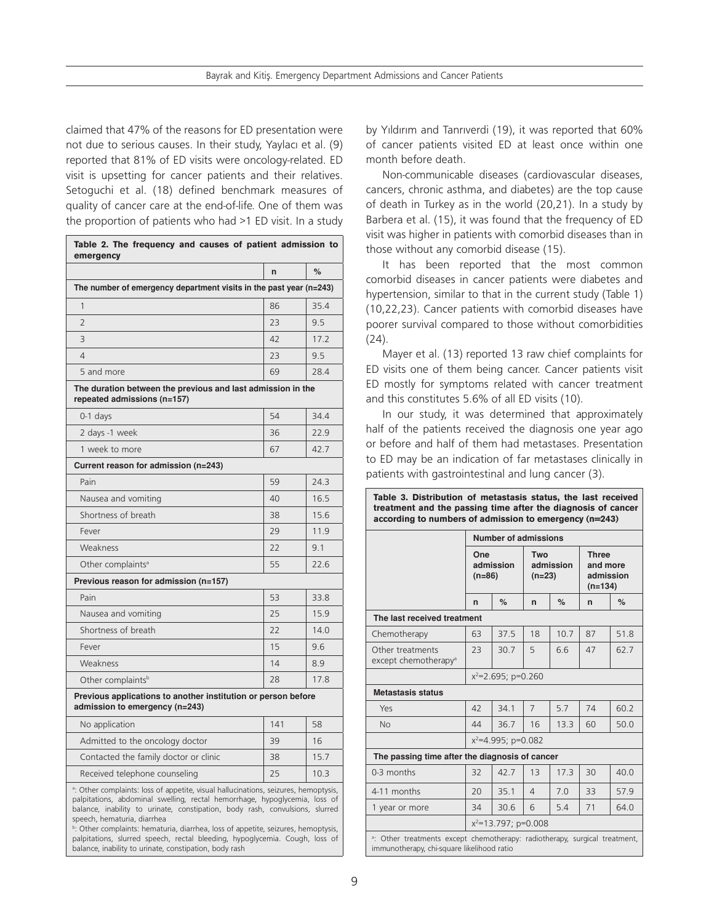claimed that 47% of the reasons for ED presentation were not due to serious causes. In their study, Yaylacı et al. (9) reported that 81% of ED visits were oncology-related. ED visit is upsetting for cancer patients and their relatives. Setoguchi et al. (18) defined benchmark measures of quality of cancer care at the end-of-life. One of them was the proportion of patients who had >1 ED visit. In a study

|                                                                                                 | $\mathsf{r}$ | $\%$ |
|-------------------------------------------------------------------------------------------------|--------------|------|
| The number of emergency department visits in the past year (n=243)                              |              |      |
| 1                                                                                               | 86           | 35.4 |
| $\overline{2}$                                                                                  | 23           | 9.5  |
| 3                                                                                               | 42           | 17.2 |
| 4                                                                                               | 23           | 9.5  |
| 5 and more                                                                                      | 69           | 28.4 |
| The duration between the previous and last admission in the<br>repeated admissions (n=157)      |              |      |
| $0-1$ days                                                                                      | 54           | 34.4 |
| 2 days -1 week                                                                                  | 36           | 22.9 |
| 1 week to more                                                                                  | 67           | 42.7 |
| Current reason for admission (n=243)                                                            |              |      |
| Pain                                                                                            | 59           | 24.3 |
| Nausea and vomiting                                                                             | 40           | 16.5 |
| Shortness of breath                                                                             | 38           | 15.6 |
| Fever                                                                                           | 29           | 11.9 |
| Weakness                                                                                        | 22           | 9.1  |
| Other complaints <sup>a</sup>                                                                   | 55           | 22.6 |
| Previous reason for admission (n=157)                                                           |              |      |
| Pain                                                                                            | 53           | 33.8 |
| Nausea and vomiting                                                                             | 25           | 15.9 |
| Shortness of breath                                                                             | 22           | 14.0 |
| Fever                                                                                           | 15           | 9.6  |
| Weakness                                                                                        | 14           | 8.9  |
| Other complaints <sup>b</sup>                                                                   | 28           | 17.8 |
| Previous applications to another institution or person before<br>admission to emergency (n=243) |              |      |
| No application                                                                                  | 141          | 58   |
| Admitted to the oncology doctor                                                                 | 39           | 16   |
| Contacted the family doctor or clinic                                                           | 38           | 15.7 |
| Received telephone counseling                                                                   | 25           | 10.3 |

palpitations, slurred speech, rectal bleeding, hypoglycemia. Cough, loss of balance, inability to urinate, constipation, body rash

by Yıldırım and Tanrıverdi (19), it was reported that 60% of cancer patients visited ED at least once within one month before death.

Non-communicable diseases (cardiovascular diseases, cancers, chronic asthma, and diabetes) are the top cause of death in Turkey as in the world (20,21). In a study by Barbera et al. (15), it was found that the frequency of ED visit was higher in patients with comorbid diseases than in those without any comorbid disease (15).

It has been reported that the most common comorbid diseases in cancer patients were diabetes and hypertension, similar to that in the current study (Table 1) (10,22,23). Cancer patients with comorbid diseases have poorer survival compared to those without comorbidities (24).

Mayer et al. (13) reported 13 raw chief complaints for ED visits one of them being cancer. Cancer patients visit ED mostly for symptoms related with cancer treatment and this constitutes 5.6% of all ED visits (10).

In our study, it was determined that approximately half of the patients received the diagnosis one year ago or before and half of them had metastases. Presentation to ED may be an indication of far metastases clinically in patients with gastrointestinal and lung cancer (3).

| Table 3. Distribution of metastasis status, the last received<br>treatment and the passing time after the diagnosis of cancer<br>according to numbers of admission to emergency (n=243) |                              |      |                              |      |                                                    |      |  |  |  |
|-----------------------------------------------------------------------------------------------------------------------------------------------------------------------------------------|------------------------------|------|------------------------------|------|----------------------------------------------------|------|--|--|--|
|                                                                                                                                                                                         | <b>Number of admissions</b>  |      |                              |      |                                                    |      |  |  |  |
|                                                                                                                                                                                         | One<br>admission<br>$(n=86)$ |      | Two<br>admission<br>$(n=23)$ |      | <b>Three</b><br>and more<br>admission<br>$(n=134)$ |      |  |  |  |
|                                                                                                                                                                                         | n                            | $\%$ | $\mathsf{n}$                 | $\%$ | n                                                  | %    |  |  |  |
| The last received treatment                                                                                                                                                             |                              |      |                              |      |                                                    |      |  |  |  |
| Chemotherapy                                                                                                                                                                            | 63                           | 37.5 | 18                           | 10.7 | 87                                                 | 51.8 |  |  |  |
| Other treatments<br>except chemotherapy <sup>a</sup>                                                                                                                                    | 23                           | 30.7 | 5                            | 6.6  | 47                                                 | 62.7 |  |  |  |
|                                                                                                                                                                                         | $x^2$ =2.695; p=0.260        |      |                              |      |                                                    |      |  |  |  |
| <b>Metastasis status</b>                                                                                                                                                                |                              |      |                              |      |                                                    |      |  |  |  |
| Yes                                                                                                                                                                                     | 42                           | 34.1 | $\overline{7}$               | 5.7  | 74                                                 | 60.2 |  |  |  |
| <b>No</b>                                                                                                                                                                               | 44                           | 36.7 | 16                           | 13.3 | 60                                                 | 50.0 |  |  |  |
|                                                                                                                                                                                         | $x^2$ =4.995; p=0.082        |      |                              |      |                                                    |      |  |  |  |
| The passing time after the diagnosis of cancer                                                                                                                                          |                              |      |                              |      |                                                    |      |  |  |  |
| $0-3$ months                                                                                                                                                                            | 32                           | 42.7 | 13                           | 17.3 | 30                                                 | 40.0 |  |  |  |
| 4-11 months                                                                                                                                                                             | 20                           | 35.1 | $\overline{4}$               | 70   | 33                                                 | 57.9 |  |  |  |
| 1 year or more                                                                                                                                                                          | 34                           | 30.6 | 6                            | 5.4  | 71                                                 | 64.0 |  |  |  |
|                                                                                                                                                                                         | $x^2$ =13.797; p=0.008       |      |                              |      |                                                    |      |  |  |  |
| a: Other treatments except chemotherapy: radiotherapy, surgical treatment,<br>immunotherapy, chi-square likelihood ratio                                                                |                              |      |                              |      |                                                    |      |  |  |  |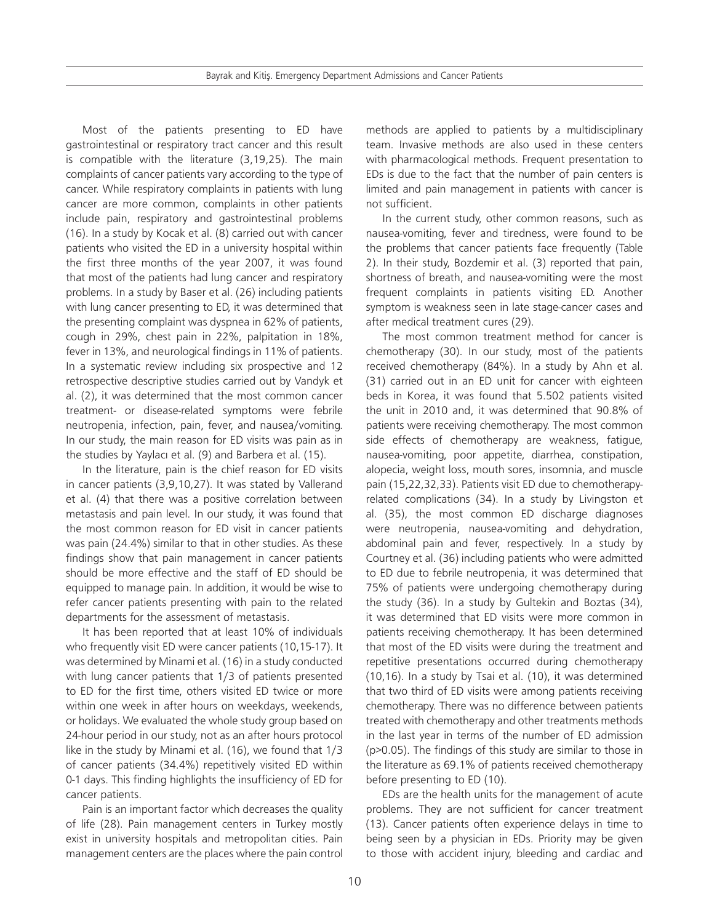Bayrak and Kitiş. Emergency Department Admissions and Cancer Patients

Most of the patients presenting to ED have gastrointestinal or respiratory tract cancer and this result is compatible with the literature (3,19,25). The main complaints of cancer patients vary according to the type of cancer. While respiratory complaints in patients with lung cancer are more common, complaints in other patients include pain, respiratory and gastrointestinal problems (16). In a study by Kocak et al. (8) carried out with cancer patients who visited the ED in a university hospital within the first three months of the year 2007, it was found that most of the patients had lung cancer and respiratory problems. In a study by Baser et al. (26) including patients with lung cancer presenting to ED, it was determined that the presenting complaint was dyspnea in 62% of patients, cough in 29%, chest pain in 22%, palpitation in 18%, fever in 13%, and neurological findings in 11% of patients. In a systematic review including six prospective and 12 retrospective descriptive studies carried out by Vandyk et al. (2), it was determined that the most common cancer treatment- or disease-related symptoms were febrile neutropenia, infection, pain, fever, and nausea/vomiting. In our study, the main reason for ED visits was pain as in the studies by Yaylacı et al. (9) and Barbera et al. (15).

In the literature, pain is the chief reason for ED visits in cancer patients (3,9,10,27). It was stated by Vallerand et al. (4) that there was a positive correlation between metastasis and pain level. In our study, it was found that the most common reason for ED visit in cancer patients was pain (24.4%) similar to that in other studies. As these findings show that pain management in cancer patients should be more effective and the staff of ED should be equipped to manage pain. In addition, it would be wise to refer cancer patients presenting with pain to the related departments for the assessment of metastasis.

It has been reported that at least 10% of individuals who frequently visit ED were cancer patients (10,15-17). It was determined by Minami et al. (16) in a study conducted with lung cancer patients that 1/3 of patients presented to ED for the first time, others visited ED twice or more within one week in after hours on weekdays, weekends, or holidays. We evaluated the whole study group based on 24-hour period in our study, not as an after hours protocol like in the study by Minami et al. (16), we found that 1/3 of cancer patients (34.4%) repetitively visited ED within 0-1 days. This finding highlights the insufficiency of ED for cancer patients.

Pain is an important factor which decreases the quality of life (28). Pain management centers in Turkey mostly exist in university hospitals and metropolitan cities. Pain management centers are the places where the pain control

methods are applied to patients by a multidisciplinary team. Invasive methods are also used in these centers with pharmacological methods. Frequent presentation to EDs is due to the fact that the number of pain centers is limited and pain management in patients with cancer is not sufficient.

In the current study, other common reasons, such as nausea-vomiting, fever and tiredness, were found to be the problems that cancer patients face frequently (Table 2). In their study, Bozdemir et al. (3) reported that pain, shortness of breath, and nausea-vomiting were the most frequent complaints in patients visiting ED. Another symptom is weakness seen in late stage-cancer cases and after medical treatment cures (29).

The most common treatment method for cancer is chemotherapy (30). In our study, most of the patients received chemotherapy (84%). In a study by Ahn et al. (31) carried out in an ED unit for cancer with eighteen beds in Korea, it was found that 5.502 patients visited the unit in 2010 and, it was determined that 90.8% of patients were receiving chemotherapy. The most common side effects of chemotherapy are weakness, fatigue, nausea-vomiting, poor appetite, diarrhea, constipation, alopecia, weight loss, mouth sores, insomnia, and muscle pain (15,22,32,33). Patients visit ED due to chemotherapyrelated complications (34). In a study by Livingston et al. (35), the most common ED discharge diagnoses were neutropenia, nausea-vomiting and dehydration, abdominal pain and fever, respectively. In a study by Courtney et al. (36) including patients who were admitted to ED due to febrile neutropenia, it was determined that 75% of patients were undergoing chemotherapy during the study (36). In a study by Gultekin and Boztas (34), it was determined that ED visits were more common in patients receiving chemotherapy. It has been determined that most of the ED visits were during the treatment and repetitive presentations occurred during chemotherapy (10,16). In a study by Tsai et al. (10), it was determined that two third of ED visits were among patients receiving chemotherapy. There was no difference between patients treated with chemotherapy and other treatments methods in the last year in terms of the number of ED admission (p>0.05). The findings of this study are similar to those in the literature as 69.1% of patients received chemotherapy before presenting to ED (10).

EDs are the health units for the management of acute problems. They are not sufficient for cancer treatment (13). Cancer patients often experience delays in time to being seen by a physician in EDs. Priority may be given to those with accident injury, bleeding and cardiac and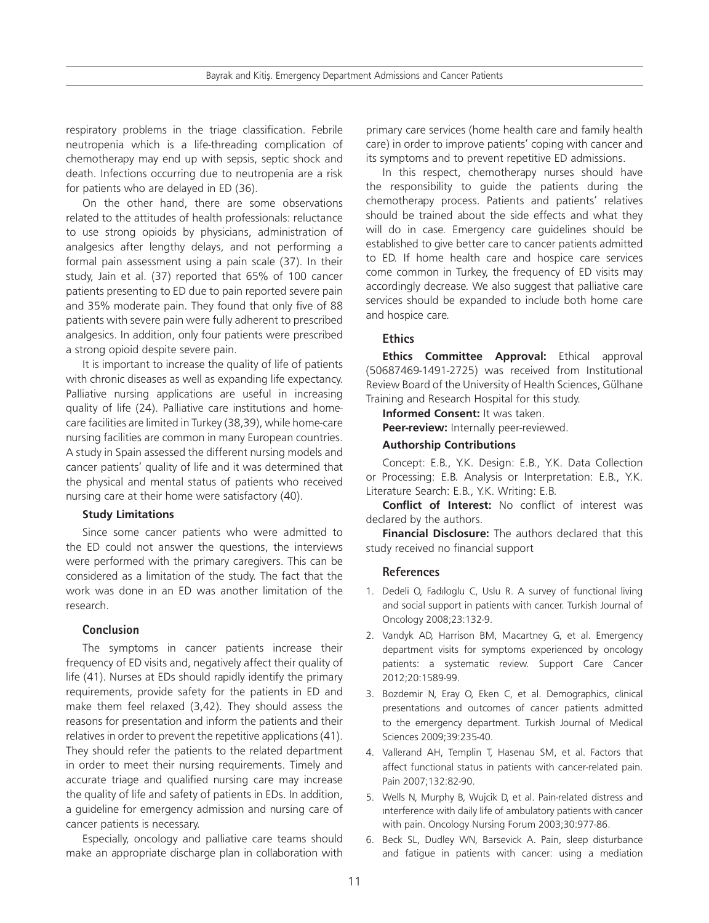respiratory problems in the triage classification. Febrile neutropenia which is a life-threading complication of chemotherapy may end up with sepsis, septic shock and death. Infections occurring due to neutropenia are a risk for patients who are delayed in ED (36).

On the other hand, there are some observations related to the attitudes of health professionals: reluctance to use strong opioids by physicians, administration of analgesics after lengthy delays, and not performing a formal pain assessment using a pain scale (37). In their study, Jain et al. (37) reported that 65% of 100 cancer patients presenting to ED due to pain reported severe pain and 35% moderate pain. They found that only five of 88 patients with severe pain were fully adherent to prescribed analgesics. In addition, only four patients were prescribed a strong opioid despite severe pain.

It is important to increase the quality of life of patients with chronic diseases as well as expanding life expectancy. Palliative nursing applications are useful in increasing quality of life (24). Palliative care institutions and homecare facilities are limited in Turkey (38,39), while home-care nursing facilities are common in many European countries. A study in Spain assessed the different nursing models and cancer patients' quality of life and it was determined that the physical and mental status of patients who received nursing care at their home were satisfactory (40).

#### **Study Limitations**

Since some cancer patients who were admitted to the ED could not answer the questions, the interviews were performed with the primary caregivers. This can be considered as a limitation of the study. The fact that the work was done in an ED was another limitation of the research.

#### **Conclusion**

The symptoms in cancer patients increase their frequency of ED visits and, negatively affect their quality of life (41). Nurses at EDs should rapidly identify the primary requirements, provide safety for the patients in ED and make them feel relaxed (3,42). They should assess the reasons for presentation and inform the patients and their relatives in order to prevent the repetitive applications (41). They should refer the patients to the related department in order to meet their nursing requirements. Timely and accurate triage and qualified nursing care may increase the quality of life and safety of patients in EDs. In addition, a guideline for emergency admission and nursing care of cancer patients is necessary.

Especially, oncology and palliative care teams should make an appropriate discharge plan in collaboration with primary care services (home health care and family health care) in order to improve patients' coping with cancer and its symptoms and to prevent repetitive ED admissions.

In this respect, chemotherapy nurses should have the responsibility to guide the patients during the chemotherapy process. Patients and patients' relatives should be trained about the side effects and what they will do in case. Emergency care guidelines should be established to give better care to cancer patients admitted to ED. If home health care and hospice care services come common in Turkey, the frequency of ED visits may accordingly decrease. We also suggest that palliative care services should be expanded to include both home care and hospice care.

# **Ethics**

**Ethics Committee Approval:** Ethical approval (50687469-1491-2725) was received from Institutional Review Board of the University of Health Sciences, Gülhane Training and Research Hospital for this study.

**Informed Consent:** It was taken.

**Peer-review:** Internally peer-reviewed.

#### **Authorship Contributions**

Concept: E.B., Y.K. Design: E.B., Y.K. Data Collection or Processing: E.B. Analysis or Interpretation: E.B., Y.K. Literature Search: E.B., Y.K. Writing: E.B.

**Conflict of Interest:** No conflict of interest was declared by the authors.

**Financial Disclosure:** The authors declared that this study received no financial support

#### **References**

- 1. Dedeli O, Fadıloglu C, Uslu R. A survey of functional living and social support in patients with cancer. Turkish Journal of Oncology 2008;23:132-9.
- 2. Vandyk AD, Harrison BM, Macartney G, et al. Emergency department visits for symptoms experienced by oncology patients: a systematic review. Support Care Cancer 2012;20:1589-99.
- 3. Bozdemir N, Eray O, Eken C, et al. Demographics, clinical presentations and outcomes of cancer patients admitted to the emergency department. Turkish Journal of Medical Sciences 2009;39:235-40.
- 4. Vallerand AH, Templin T, Hasenau SM, et al. Factors that affect functional status in patients with cancer-related pain. Pain 2007;132:82-90.
- 5. Wells N, Murphy B, Wujcik D, et al. Pain-related distress and ınterference with daily life of ambulatory patients with cancer with pain. Oncology Nursing Forum 2003;30:977-86.
- 6. Beck SL, Dudley WN, Barsevick A. Pain, sleep disturbance and fatigue in patients with cancer: using a mediation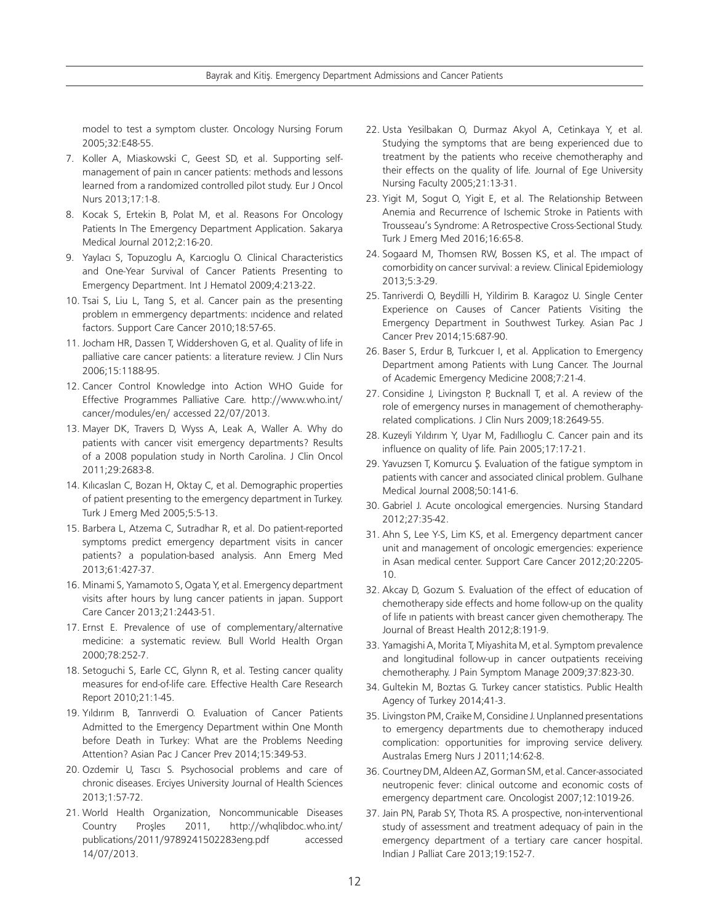model to test a symptom cluster. Oncology Nursing Forum 2005;32:E48-55.

- 7. Koller A, Miaskowski C, Geest SD, et al. Supporting selfmanagement of pain ın cancer patients: methods and lessons learned from a randomized controlled pilot study. Eur J Oncol Nurs 2013;17:1-8.
- 8. Kocak S, Ertekin B, Polat M, et al. Reasons For Oncology Patients In The Emergency Department Application. Sakarya Medical Journal 2012;2:16-20.
- 9. Yaylacı S, Topuzoglu A, Karcıoglu O. Clinical Characteristics and One-Year Survival of Cancer Patients Presenting to Emergency Department. Int J Hematol 2009;4:213-22.
- 10. Tsai S, Liu L, Tang S, et al. Cancer pain as the presenting problem ın emmergency departments: ıncidence and related factors. Support Care Cancer 2010;18:57-65.
- 11. Jocham HR, Dassen T, Widdershoven G, et al. Quality of life in palliative care cancer patients: a literature review. J Clin Nurs 2006;15:1188-95.
- 12. Cancer Control Knowledge into Action WHO Guide for Effective Programmes Palliative Care. http://www.who.int/ cancer/modules/en/ accessed 22/07/2013.
- 13. Mayer DK, Travers D, Wyss A, Leak A, Waller A. Why do patients with cancer visit emergency departments? Results of a 2008 population study in North Carolina. J Clin Oncol 2011;29:2683-8.
- 14. Kılıcaslan C, Bozan H, Oktay C, et al. Demographic properties of patient presenting to the emergency department in Turkey. Turk J Emerg Med 2005;5:5-13.
- 15. Barbera L, Atzema C, Sutradhar R, et al. Do patient-reported symptoms predict emergency department visits in cancer patients? a population-based analysis. Ann Emerg Med 2013;61:427-37.
- 16. Minami S, Yamamoto S, Ogata Y, et al. Emergency department visits after hours by lung cancer patients in japan. Support Care Cancer 2013;21:2443-51.
- 17. Ernst E. Prevalence of use of complementary/alternative medicine: a systematic review. Bull World Health Organ 2000;78:252-7.
- 18. Setoguchi S, Earle CC, Glynn R, et al. Testing cancer quality measures for end-of-life care. Effective Health Care Research Report 2010;21:1-45.
- 19. Yıldırım B, Tanrıverdi O. Evaluation of Cancer Patients Admitted to the Emergency Department within One Month before Death in Turkey: What are the Problems Needing Attention? Asian Pac J Cancer Prev 2014;15:349-53.
- 20. Ozdemir U, Tascı S. Psychosocial problems and care of chronic diseases. Erciyes University Journal of Health Sciences 2013;1:57-72.
- 21. World Health Organization, Noncommunicable Diseases Country Proşles 2011, http://whqlibdoc.who.int/ publications/2011/9789241502283eng.pdf accessed 14/07/2013.
- 22. Usta Yesilbakan O, Durmaz Akyol A, Cetinkaya Y, et al. Studying the symptoms that are beıng experienced due to treatment by the patients who receive chemotheraphy and their effects on the quality of life. Journal of Ege University Nursing Faculty 2005;21:13-31.
- 23. Yigit M, Sogut O, Yigit E, et al. The Relationship Between Anemia and Recurrence of Ischemic Stroke in Patients with Trousseau's Syndrome: A Retrospective Cross-Sectional Study. Turk J Emerg Med 2016;16:65-8.
- 24. Sogaard M, Thomsen RW, Bossen KS, et al. The ımpact of comorbidity on cancer survival: a review. Clinical Epidemiology 2013;5:3-29.
- 25. Tanriverdi O, Beydilli H, Yildirim B. Karagoz U. Single Center Experience on Causes of Cancer Patients Visiting the Emergency Department in Southwest Turkey. Asian Pac J Cancer Prev 2014;15:687-90.
- 26. Baser S, Erdur B, Turkcuer I, et al. Application to Emergency Department among Patients with Lung Cancer. The Journal of Academic Emergency Medicine 2008;7:21-4.
- 27. Considine J, Livingston P, Bucknall T, et al. A review of the role of emergency nurses in management of chemotheraphyrelated complications. J Clin Nurs 2009;18:2649-55.
- 28. Kuzeyli Yıldırım Y, Uyar M, Fadıllıoglu C. Cancer pain and its influence on quality of life. Pain 2005;17:17-21.
- 29. Yavuzsen T, Komurcu Ş. Evaluation of the fatigue symptom in patients with cancer and associated clinical problem. Gulhane Medical Journal 2008;50:141-6.
- 30. Gabriel J. Acute oncological emergencies. Nursing Standard 2012;27:35-42.
- 31. Ahn S, Lee Y-S, Lim KS, et al. Emergency department cancer unit and management of oncologic emergencies: experience in Asan medical center. Support Care Cancer 2012;20:2205- 10.
- 32. Akcay D, Gozum S. Evaluation of the effect of education of chemotherapy side effects and home follow-up on the quality of life ın patients with breast cancer given chemotherapy. The Journal of Breast Health 2012;8:191-9.
- 33. Yamagishi A, Morita T, Miyashita M, et al. Symptom prevalence and longitudinal follow-up in cancer outpatients receiving chemotheraphy. J Pain Symptom Manage 2009;37:823-30.
- 34. Gultekin M, Boztas G. Turkey cancer statistics. Public Health Agency of Turkey 2014;41-3.
- 35. Livingston PM, Craike M, Considine J. Unplanned presentations to emergency departments due to chemotherapy induced complication: opportunities for improving service delivery. Australas Emerg Nurs J 2011;14:62-8.
- 36. Courtney DM, Aldeen AZ, Gorman SM, et al. Cancer-associated neutropenic fever: clinical outcome and economic costs of emergency department care. Oncologist 2007;12:1019-26.
- 37. Jain PN, Parab SY, Thota RS. A prospective, non-interventional study of assessment and treatment adequacy of pain in the emergency department of a tertiary care cancer hospital. Indian J Palliat Care 2013;19:152-7.